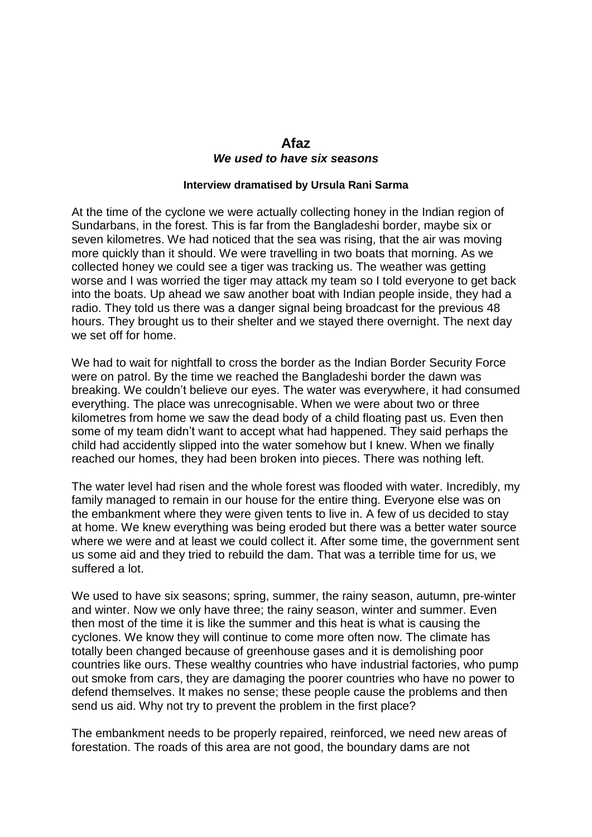## **Afaz** *We used to have six seasons*

## **Interview dramatised by Ursula Rani Sarma**

At the time of the cyclone we were actually collecting honey in the Indian region of Sundarbans, in the forest. This is far from the Bangladeshi border, maybe six or seven kilometres. We had noticed that the sea was rising, that the air was moving more quickly than it should. We were travelling in two boats that morning. As we collected honey we could see a tiger was tracking us. The weather was getting worse and I was worried the tiger may attack my team so I told everyone to get back into the boats. Up ahead we saw another boat with Indian people inside, they had a radio. They told us there was a danger signal being broadcast for the previous 48 hours. They brought us to their shelter and we stayed there overnight. The next day we set off for home.

We had to wait for nightfall to cross the border as the Indian Border Security Force were on patrol. By the time we reached the Bangladeshi border the dawn was breaking. We couldn't believe our eyes. The water was everywhere, it had consumed everything. The place was unrecognisable. When we were about two or three kilometres from home we saw the dead body of a child floating past us. Even then some of my team didn't want to accept what had happened. They said perhaps the child had accidently slipped into the water somehow but I knew. When we finally reached our homes, they had been broken into pieces. There was nothing left.

The water level had risen and the whole forest was flooded with water. Incredibly, my family managed to remain in our house for the entire thing. Everyone else was on the embankment where they were given tents to live in. A few of us decided to stay at home. We knew everything was being eroded but there was a better water source where we were and at least we could collect it. After some time, the government sent us some aid and they tried to rebuild the dam. That was a terrible time for us, we suffered a lot.

We used to have six seasons; spring, summer, the rainy season, autumn, pre-winter and winter. Now we only have three; the rainy season, winter and summer. Even then most of the time it is like the summer and this heat is what is causing the cyclones. We know they will continue to come more often now. The climate has totally been changed because of greenhouse gases and it is demolishing poor countries like ours. These wealthy countries who have industrial factories, who pump out smoke from cars, they are damaging the poorer countries who have no power to defend themselves. It makes no sense; these people cause the problems and then send us aid. Why not try to prevent the problem in the first place?

The embankment needs to be properly repaired, reinforced, we need new areas of forestation. The roads of this area are not good, the boundary dams are not